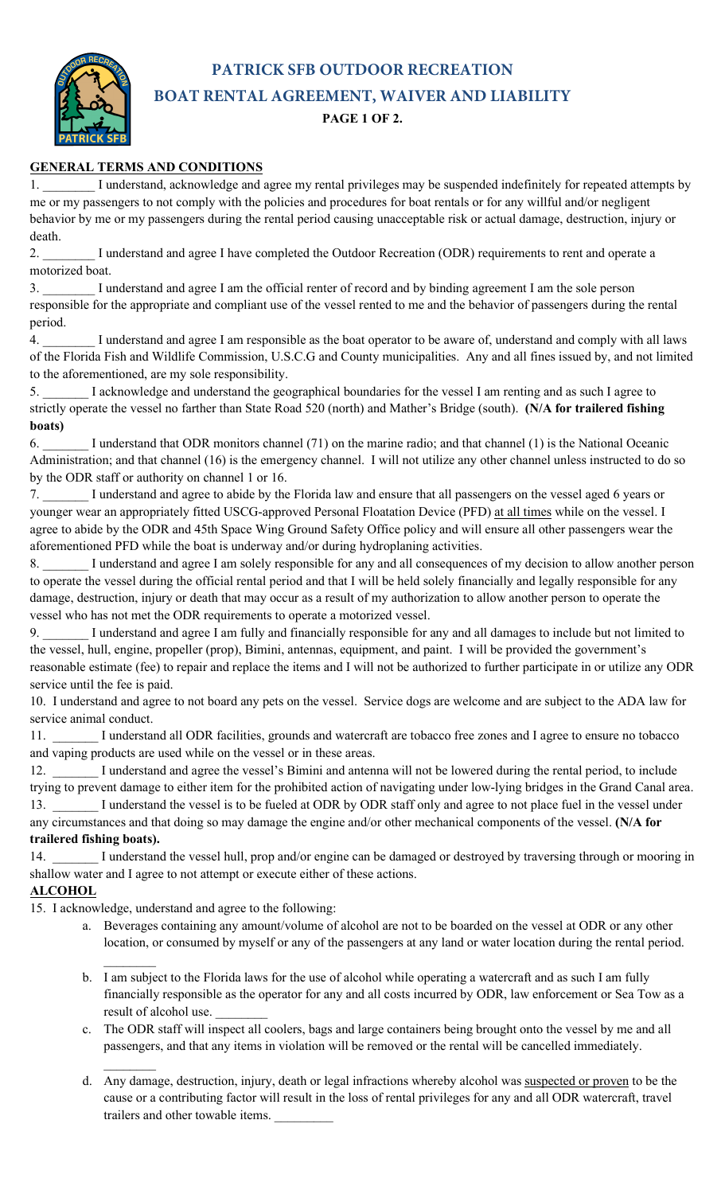**PATRICK SFB OUTDOOR RECREATION BOAT RENTAL AGREEMENT, WAIVER AND LIABILITY**

## **PAGE 1 OF 2.**

## **GENERAL TERMS AND CONDITIONS**

I understand, acknowledge and agree my rental privileges may be suspended indefinitely for repeated attempts by me or my passengers to not comply with the policies and procedures for boat rentals or for any willful and/or negligent behavior by me or my passengers during the rental period causing unacceptable risk or actual damage, destruction, injury or death.

2. **I** understand and agree I have completed the Outdoor Recreation (ODR) requirements to rent and operate a motorized boat.

3. \_\_\_\_\_\_\_\_ I understand and agree I am the official renter of record and by binding agreement I am the sole person responsible for the appropriate and compliant use of the vessel rented to me and the behavior of passengers during the rental period.

4. \_\_\_\_\_\_\_\_ I understand and agree I am responsible as the boat operator to be aware of, understand and comply with all laws of the Florida Fish and Wildlife Commission, U.S.C.G and County municipalities. Any and all fines issued by, and not limited to the aforementioned, are my sole responsibility.

5. \_\_\_\_\_\_\_ I acknowledge and understand the geographical boundaries for the vessel I am renting and as such I agree to strictly operate the vessel no farther than State Road 520 (north) and Mather's Bridge (south). **(N/A for trailered fishing boats)**

6. \_\_\_\_\_\_\_ I understand that ODR monitors channel (71) on the marine radio; and that channel (1) is the National Oceanic Administration; and that channel (16) is the emergency channel. I will not utilize any other channel unless instructed to do so by the ODR staff or authority on channel 1 or 16.

7. \_\_\_\_\_\_\_ I understand and agree to abide by the Florida law and ensure that all passengers on the vessel aged 6 years or younger wear an appropriately fitted USCG-approved Personal Floatation Device (PFD) at all times while on the vessel. I agree to abide by the ODR and 45th Space Wing Ground Safety Office policy and will ensure all other passengers wear the aforementioned PFD while the boat is underway and/or during hydroplaning activities.

8. I understand and agree I am solely responsible for any and all consequences of my decision to allow another person to operate the vessel during the official rental period and that I will be held solely financially and legally responsible for any damage, destruction, injury or death that may occur as a result of my authorization to allow another person to operate the vessel who has not met the ODR requirements to operate a motorized vessel.

9. \_\_\_\_\_\_\_ I understand and agree I am fully and financially responsible for any and all damages to include but not limited to the vessel, hull, engine, propeller (prop), Bimini, antennas, equipment, and paint. I will be provided the government's reasonable estimate (fee) to repair and replace the items and I will not be authorized to further participate in or utilize any ODR service until the fee is paid.

10. I understand and agree to not board any pets on the vessel. Service dogs are welcome and are subject to the ADA law for service animal conduct.

11. \_\_\_\_\_\_\_ I understand all ODR facilities, grounds and watercraft are tobacco free zones and I agree to ensure no tobacco and vaping products are used while on the vessel or in these areas.

12. \_\_\_\_\_\_\_ I understand and agree the vessel's Bimini and antenna will not be lowered during the rental period, to include trying to prevent damage to either item for the prohibited action of navigating under low-lying bridges in the Grand Canal area. 13. \_\_\_\_\_\_ I understand the vessel is to be fueled at ODR by ODR staff only and agree to not place fuel in the vessel under any circumstances and that doing so may damage the engine and/or other mechanical components of the vessel. **(N/A for trailered fishing boats).**

14. I understand the vessel hull, prop and/or engine can be damaged or destroyed by traversing through or mooring in shallow water and I agree to not attempt or execute either of these actions.

## **ALCOHOL**

15. I acknowledge, understand and agree to the following:

 $\frac{1}{2}$ 

- a. Beverages containing any amount/volume of alcohol are not to be boarded on the vessel at ODR or any other location, or consumed by myself or any of the passengers at any land or water location during the rental period.
- $\frac{1}{2}$ b. I am subject to the Florida laws for the use of alcohol while operating a watercraft and as such I am fully financially responsible as the operator for any and all costs incurred by ODR, law enforcement or Sea Tow as a result of alcohol use.
- c. The ODR staff will inspect all coolers, bags and large containers being brought onto the vessel by me and all passengers, and that any items in violation will be removed or the rental will be cancelled immediately.
- d. Any damage, destruction, injury, death or legal infractions whereby alcohol was suspected or proven to be the cause or a contributing factor will result in the loss of rental privileges for any and all ODR watercraft, travel trailers and other towable items.